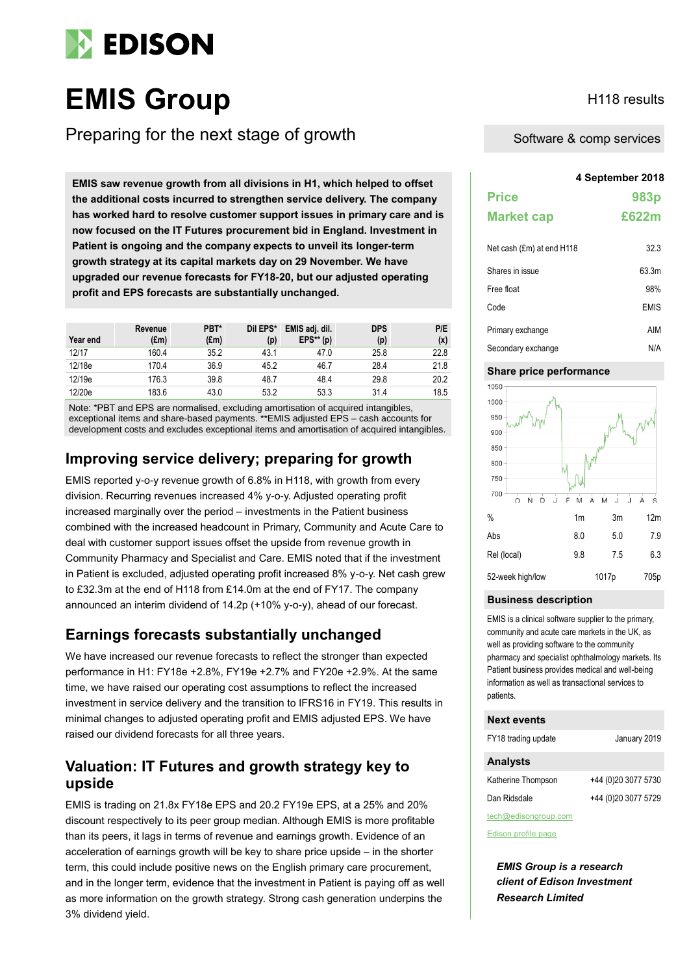

# **EMIS Group** H118 results

Preparing for the next stage of growth

**4 September 2018 EMIS saw revenue growth from all divisions in H1, which helped to offset the additional costs incurred to strengthen service delivery. The company has worked hard to resolve customer support issues in primary care and is now focused on the IT Futures procurement bid in England. Investment in Patient is ongoing and the company expects to unveil its longer-term growth strategy at its capital markets day on 29 November. We have upgraded our revenue forecasts for FY18-20, but our adjusted operating profit and EPS forecasts are substantially unchanged.**

| Year end | Revenue<br>(£m) | PBT*<br>$(\text{Em})$ | Dil EPS*<br>(p) | EMIS adj. dil.<br>$EPS**$ (p) | <b>DPS</b><br>(p) | P/E<br>(x) |
|----------|-----------------|-----------------------|-----------------|-------------------------------|-------------------|------------|
| 12/17    | 160.4           | 35.2                  | 43.1            | 47.0                          | 25.8              | 22.8       |
| 12/18e   | 170.4           | 36.9                  | 45.2            | 46.7                          | 28.4              | 21.8       |
| 12/19e   | 176.3           | 39.8                  | 48.7            | 48.4                          | 29.8              | 20.2       |
| 12/20e   | 183.6           | 43.0                  | 53.2            | 53.3                          | 31.4              | 18.5       |

Note: \*PBT and EPS are normalised, excluding amortisation of acquired intangibles, exceptional items and share-based payments. \*\*EMIS adjusted EPS – cash accounts for development costs and excludes exceptional items and amortisation of acquired intangibles.

# **Improving service delivery; preparing for growth**

EMIS reported y-o-y revenue growth of 6.8% in H118, with growth from every division. Recurring revenues increased 4% y-o-y. Adjusted operating profit increased marginally over the period – investments in the Patient business combined with the increased headcount in Primary, Community and Acute Care to deal with customer support issues offset the upside from revenue growth in Community Pharmacy and Specialist and Care. EMIS noted that if the investment in Patient is excluded, adjusted operating profit increased 8% y-o-y. Net cash grew to £32.3m at the end of H118 from £14.0m at the end of FY17. The company announced an interim dividend of 14.2p (+10% y-o-y), ahead of our forecast.

# **Earnings forecasts substantially unchanged**

We have increased our revenue forecasts to reflect the stronger than expected performance in H1: FY18e +2.8%, FY19e +2.7% and FY20e +2.9%. At the same time, we have raised our operating cost assumptions to reflect the increased investment in service delivery and the transition to IFRS16 in FY19. This results in minimal changes to adjusted operating profit and EMIS adjusted EPS. We have raised our dividend forecasts for all three years.

# **Valuation: IT Futures and growth strategy key to upside**

EMIS is trading on 21.8x FY18e EPS and 20.2 FY19e EPS, at a 25% and 20% discount respectively to its peer group median. Although EMIS is more profitable than its peers, it lags in terms of revenue and earnings growth. Evidence of an acceleration of earnings growth will be key to share price upside – in the shorter term, this could include positive news on the English primary care procurement, and in the longer term, evidence that the investment in Patient is paying off as well as more information on the growth strategy. Strong cash generation underpins the 3% dividend yield.

Software & comp services

| <b>Price</b><br><b>Market cap</b> | 983p<br>£622m |
|-----------------------------------|---------------|
| Net cash (£m) at end H118         | 32.3          |
| Shares in issue                   | 63.3m         |
| Free float                        | 98%           |
| Code                              | <b>EMIS</b>   |
| Primary exchange                  | AIM           |
| Secondary exchange                | N/A           |

#### **Share price performance**



#### **Business description**

EMIS is a clinical software supplier to the primary, community and acute care markets in the UK, as well as providing software to the community pharmacy and specialist ophthalmology markets. Its Patient business provides medical and well-being information as well as transactional services to patients.

#### **Next events**

FY18 trading update January 2019

#### **Analysts**

| Katherine Thompson   | +44 (0)20 3077 5730 |
|----------------------|---------------------|
| Dan Ridsdale         | +44 (0)20 3077 5729 |
| tech@edisongroup.com |                     |

[Edison profile page](https://www.edisoninvestmentresearch.com/research/company/emis-group)

*EMIS Group is a research client of Edison Investment Research Limited*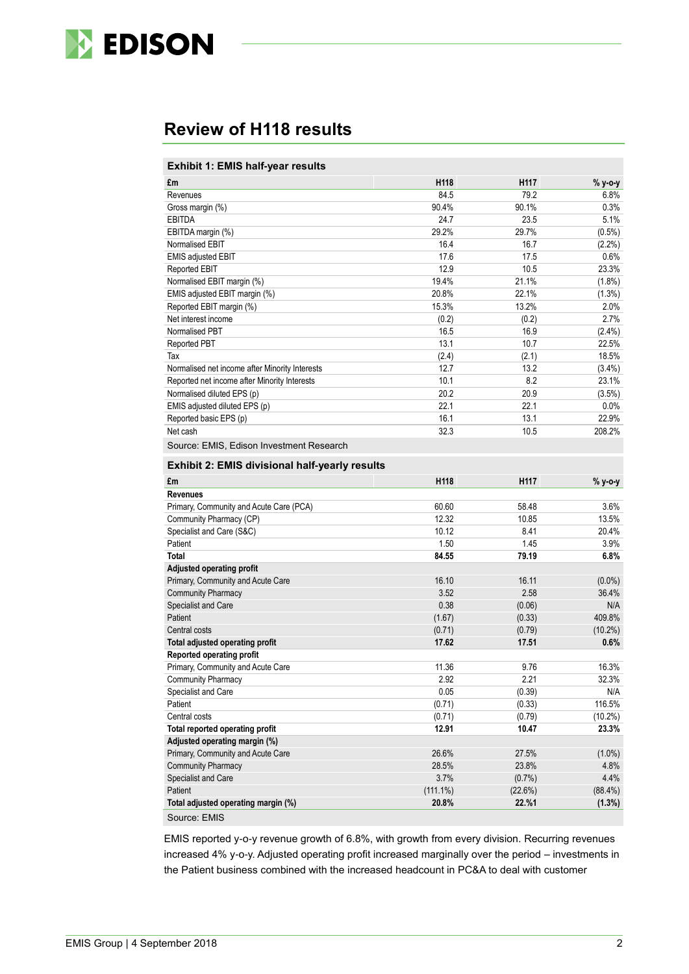

# **Review of H118 results**

#### **Exhibit 1: EMIS half-year results**

| £m                                                    | H118        | H117    | % y-o-y    |
|-------------------------------------------------------|-------------|---------|------------|
| Revenues                                              | 84.5        | 79.2    | 6.8%       |
| Gross margin (%)                                      | 90.4%       | 90.1%   | 0.3%       |
| <b>EBITDA</b>                                         | 24.7        | 23.5    | 5.1%       |
| EBITDA margin (%)                                     | 29.2%       | 29.7%   | $(0.5\%)$  |
| Normalised EBIT                                       | 16.4        | 16.7    | $(2.2\%)$  |
| <b>EMIS adjusted EBIT</b>                             | 17.6        | 17.5    | 0.6%       |
| Reported EBIT                                         | 12.9        | 10.5    | 23.3%      |
| Normalised EBIT margin (%)                            | 19.4%       | 21.1%   | $(1.8\%)$  |
| EMIS adjusted EBIT margin (%)                         | 20.8%       | 22.1%   | (1.3%)     |
| Reported EBIT margin (%)                              | 15.3%       | 13.2%   | 2.0%       |
| Net interest income                                   | (0.2)       | (0.2)   | 2.7%       |
| Normalised PBT                                        | 16.5        | 16.9    | $(2.4\%)$  |
| Reported PBT                                          | 13.1        | 10.7    | 22.5%      |
| Tax                                                   | (2.4)       | (2.1)   | 18.5%      |
| Normalised net income after Minority Interests        | 12.7        | 13.2    | $(3.4\%)$  |
| Reported net income after Minority Interests          | 10.1        | 8.2     | 23.1%      |
| Normalised diluted EPS (p)                            | 20.2        | 20.9    | (3.5%)     |
| EMIS adjusted diluted EPS (p)                         | 22.1        | 22.1    | $0.0\%$    |
| Reported basic EPS (p)                                | 16.1        | 13.1    | 22.9%      |
| Net cash                                              | 32.3        | 10.5    | 208.2%     |
| Source: EMIS, Edison Investment Research              |             |         |            |
| <b>Exhibit 2: EMIS divisional half-yearly results</b> |             |         |            |
| £m                                                    | H118        | H117    | % y-o-y    |
| <b>Revenues</b>                                       |             |         |            |
| Primary, Community and Acute Care (PCA)               | 60.60       | 58.48   | 3.6%       |
| Community Pharmacy (CP)                               | 12.32       | 10.85   | 13.5%      |
| Specialist and Care (S&C)                             | 10.12       | 8.41    | 20.4%      |
| Patient                                               | 1.50        | 1.45    | 3.9%       |
| <b>Total</b>                                          | 84.55       | 79.19   | 6.8%       |
| Adjusted operating profit                             |             |         |            |
| Primary, Community and Acute Care                     | 16.10       | 16.11   | $(0.0\%)$  |
| <b>Community Pharmacy</b>                             | 3.52        | 2.58    | 36.4%      |
| Specialist and Care                                   | 0.38        | (0.06)  | N/A        |
| Patient                                               | (1.67)      | (0.33)  | 409.8%     |
| Central costs                                         | (0.71)      | (0.79)  | $(10.2\%)$ |
| Total adjusted operating profit                       | 17.62       | 17.51   | 0.6%       |
| <b>Reported operating profit</b>                      |             |         |            |
| Primary, Community and Acute Care                     | 11.36       | 9.76    | 16.3%      |
| <b>Community Pharmacy</b>                             | 2.92        | 2.21    | 32.3%      |
| Specialist and Care                                   | 0.05        | (0.39)  | N/A        |
| Patient                                               | (0.71)      | (0.33)  | 116.5%     |
| Central costs                                         | (0.71)      | (0.79)  | $(10.2\%)$ |
| Total reported operating profit                       | 12.91       | 10.47   | 23.3%      |
| Adjusted operating margin (%)                         |             |         |            |
| Primary, Community and Acute Care                     | 26.6%       | 27.5%   | $(1.0\%)$  |
| <b>Community Pharmacy</b>                             | 28.5%       | 23.8%   | 4.8%       |
| Specialist and Care                                   | 3.7%        | (0.7%)  | 4.4%       |
| Patient                                               | $(111.1\%)$ | (22.6%) | $(88.4\%)$ |
| Total adjusted operating margin (%)                   | 20.8%       | 22.%1   | (1.3%)     |
| Source: EMIS                                          |             |         |            |

EMIS reported y-o-y revenue growth of 6.8%, with growth from every division. Recurring revenues increased 4% y-o-y. Adjusted operating profit increased marginally over the period – investments in the Patient business combined with the increased headcount in PC&A to deal with customer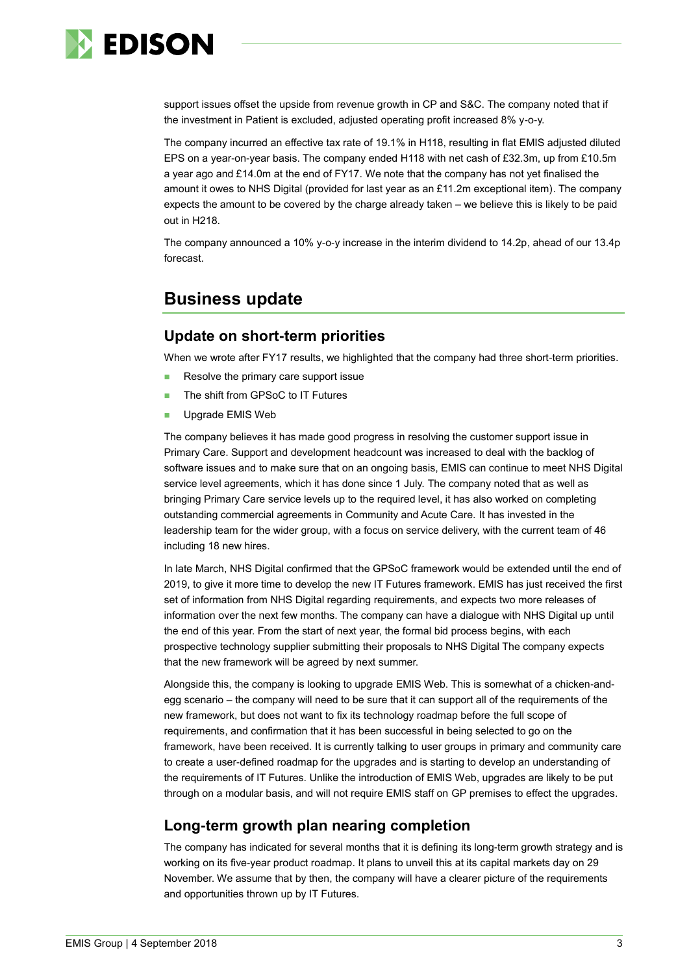

support issues offset the upside from revenue growth in CP and S&C. The company noted that if the investment in Patient is excluded, adjusted operating profit increased 8% y-o-y.

The company incurred an effective tax rate of 19.1% in H118, resulting in flat EMIS adjusted diluted EPS on a year-on-year basis. The company ended H118 with net cash of £32.3m, up from £10.5m a year ago and £14.0m at the end of FY17. We note that the company has not yet finalised the amount it owes to NHS Digital (provided for last year as an £11.2m exceptional item). The company expects the amount to be covered by the charge already taken – we believe this is likely to be paid out in H218.

The company announced a 10% y-o-y increase in the interim dividend to 14.2p, ahead of our 13.4p forecast.

# **Business update**

# **Update on short-term priorities**

When we wrote after FY17 results, we highlighted that the company had three short-term priorities.

- Resolve the primary care support issue
- The shift from GPSoC to IT Futures
- Upgrade EMIS Web

The company believes it has made good progress in resolving the customer support issue in Primary Care. Support and development headcount was increased to deal with the backlog of software issues and to make sure that on an ongoing basis, EMIS can continue to meet NHS Digital service level agreements, which it has done since 1 July. The company noted that as well as bringing Primary Care service levels up to the required level, it has also worked on completing outstanding commercial agreements in Community and Acute Care. It has invested in the leadership team for the wider group, with a focus on service delivery, with the current team of 46 including 18 new hires.

In late March, NHS Digital confirmed that the GPSoC framework would be extended until the end of 2019, to give it more time to develop the new IT Futures framework. EMIS has just received the first set of information from NHS Digital regarding requirements, and expects two more releases of information over the next few months. The company can have a dialogue with NHS Digital up until the end of this year. From the start of next year, the formal bid process begins, with each prospective technology supplier submitting their proposals to NHS Digital The company expects that the new framework will be agreed by next summer.

Alongside this, the company is looking to upgrade EMIS Web. This is somewhat of a chicken-andegg scenario – the company will need to be sure that it can support all of the requirements of the new framework, but does not want to fix its technology roadmap before the full scope of requirements, and confirmation that it has been successful in being selected to go on the framework, have been received. It is currently talking to user groups in primary and community care to create a user-defined roadmap for the upgrades and is starting to develop an understanding of the requirements of IT Futures. Unlike the introduction of EMIS Web, upgrades are likely to be put through on a modular basis, and will not require EMIS staff on GP premises to effect the upgrades.

# **Long-term growth plan nearing completion**

The company has indicated for several months that it is defining its long-term growth strategy and is working on its five-year product roadmap. It plans to unveil this at its capital markets day on 29 November. We assume that by then, the company will have a clearer picture of the requirements and opportunities thrown up by IT Futures.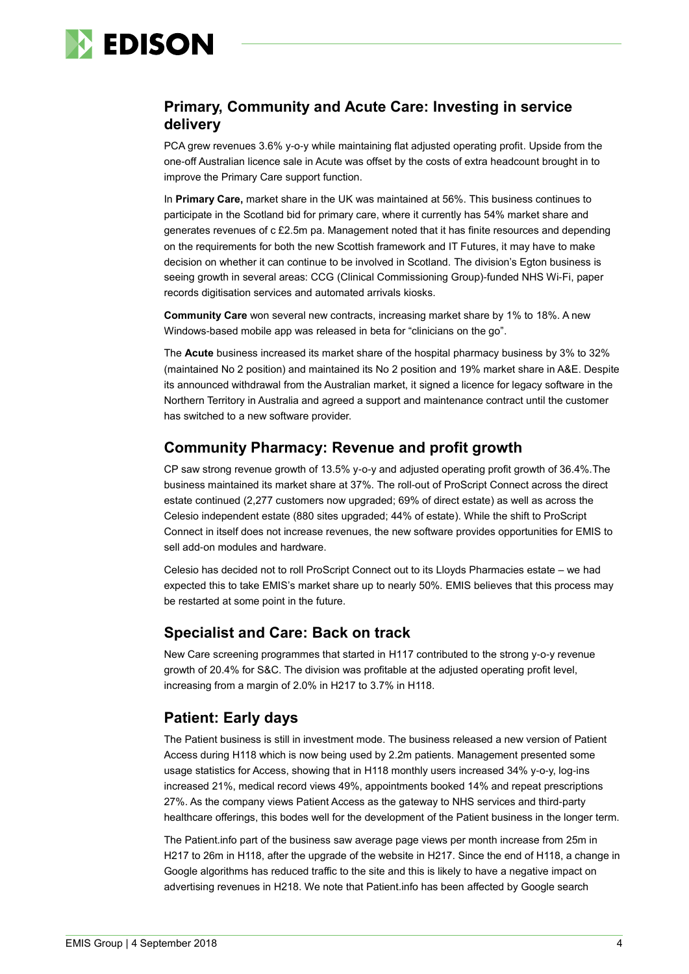

# **Primary, Community and Acute Care: Investing in service delivery**

PCA grew revenues 3.6% y-o-y while maintaining flat adjusted operating profit. Upside from the one-off Australian licence sale in Acute was offset by the costs of extra headcount brought in to improve the Primary Care support function.

In **Primary Care,** market share in the UK was maintained at 56%. This business continues to participate in the Scotland bid for primary care, where it currently has 54% market share and generates revenues of c £2.5m pa. Management noted that it has finite resources and depending on the requirements for both the new Scottish framework and IT Futures, it may have to make decision on whether it can continue to be involved in Scotland. The division's Egton business is seeing growth in several areas: CCG (Clinical Commissioning Group)-funded NHS Wi-Fi, paper records digitisation services and automated arrivals kiosks.

**Community Care** won several new contracts, increasing market share by 1% to 18%. A new Windows-based mobile app was released in beta for "clinicians on the go".

The **Acute** business increased its market share of the hospital pharmacy business by 3% to 32% (maintained No 2 position) and maintained its No 2 position and 19% market share in A&E. Despite its announced withdrawal from the Australian market, it signed a licence for legacy software in the Northern Territory in Australia and agreed a support and maintenance contract until the customer has switched to a new software provider.

# **Community Pharmacy: Revenue and profit growth**

CP saw strong revenue growth of 13.5% y-o-y and adjusted operating profit growth of 36.4%.The business maintained its market share at 37%. The roll-out of ProScript Connect across the direct estate continued (2,277 customers now upgraded; 69% of direct estate) as well as across the Celesio independent estate (880 sites upgraded; 44% of estate). While the shift to ProScript Connect in itself does not increase revenues, the new software provides opportunities for EMIS to sell add-on modules and hardware.

Celesio has decided not to roll ProScript Connect out to its Lloyds Pharmacies estate – we had expected this to take EMIS's market share up to nearly 50%. EMIS believes that this process may be restarted at some point in the future.

# **Specialist and Care: Back on track**

New Care screening programmes that started in H117 contributed to the strong y-o-y revenue growth of 20.4% for S&C. The division was profitable at the adjusted operating profit level, increasing from a margin of 2.0% in H217 to 3.7% in H118.

# **Patient: Early days**

The Patient business is still in investment mode. The business released a new version of Patient Access during H118 which is now being used by 2.2m patients. Management presented some usage statistics for Access, showing that in H118 monthly users increased 34% y-o-y, log-ins increased 21%, medical record views 49%, appointments booked 14% and repeat prescriptions 27%. As the company views Patient Access as the gateway to NHS services and third-party healthcare offerings, this bodes well for the development of the Patient business in the longer term.

The Patient.info part of the business saw average page views per month increase from 25m in H217 to 26m in H118, after the upgrade of the website in H217. Since the end of H118, a change in Google algorithms has reduced traffic to the site and this is likely to have a negative impact on advertising revenues in H218. We note that Patient.info has been affected by Google search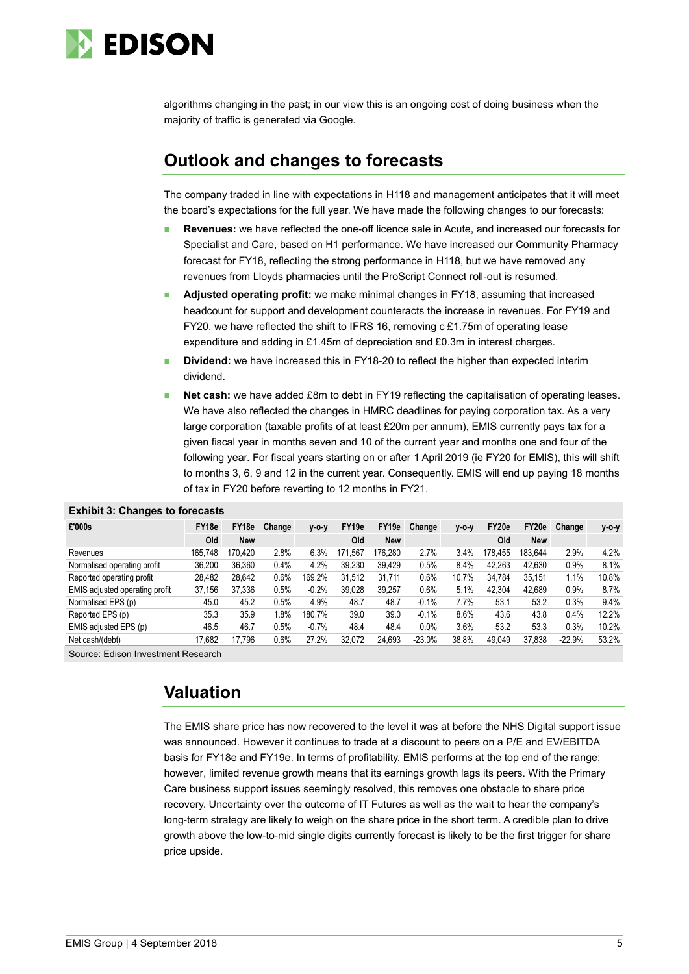

algorithms changing in the past; in our view this is an ongoing cost of doing business when the majority of traffic is generated via Google.

# **Outlook and changes to forecasts**

The company traded in line with expectations in H118 and management anticipates that it will meet the board's expectations for the full year. We have made the following changes to our forecasts:

- **Revenues:** we have reflected the one-off licence sale in Acute, and increased our forecasts for Specialist and Care, based on H1 performance. We have increased our Community Pharmacy forecast for FY18, reflecting the strong performance in H118, but we have removed any revenues from Lloyds pharmacies until the ProScript Connect roll-out is resumed.
- **Adjusted operating profit:** we make minimal changes in FY18, assuming that increased headcount for support and development counteracts the increase in revenues. For FY19 and FY20, we have reflected the shift to IFRS 16, removing c £1.75m of operating lease expenditure and adding in £1.45m of depreciation and £0.3m in interest charges.
- **Dividend:** we have increased this in FY18-20 to reflect the higher than expected interim dividend.
- **Net cash:** we have added £8m to debt in FY19 reflecting the capitalisation of operating leases. We have also reflected the changes in HMRC deadlines for paying corporation tax. As a very large corporation (taxable profits of at least £20m per annum), EMIS currently pays tax for a given fiscal year in months seven and 10 of the current year and months one and four of the following year. For fiscal years starting on or after 1 April 2019 (ie FY20 for EMIS), this will shift to months 3, 6, 9 and 12 in the current year. Consequently. EMIS will end up paying 18 months of tax in FY20 before reverting to 12 months in FY21.

| £'000s                                     | FY18e   | FY18e      | Change | $V - O - V$ | FY <sub>19e</sub> | FY19e   | Change   | $V-O-V$ | FY20e   | FY20e   | Change   | y-o-y |
|--------------------------------------------|---------|------------|--------|-------------|-------------------|---------|----------|---------|---------|---------|----------|-------|
|                                            | Old     | <b>New</b> |        |             | Old               | New     |          |         | Old     | New     |          |       |
| Revenues                                   | 165.748 | 170.420    | 2.8%   | 6.3%        | 171.567           | 176.280 | 2.7%     | 3.4%    | 178.455 | 183.644 | 2.9%     | 4.2%  |
| Normalised operating profit                | 36,200  | 36.360     | 0.4%   | 4.2%        | 39.230            | 39,429  | 0.5%     | 8.4%    | 42.263  | 42,630  | 0.9%     | 8.1%  |
| Reported operating profit                  | 28,482  | 28.642     | 0.6%   | 169.2%      | 31.512            | 31.711  | 0.6%     | 10.7%   | 34.784  | 35.151  | 1.1%     | 10.8% |
| EMIS adjusted operating profit             | 37,156  | 37.336     | 0.5%   | $-0.2%$     | 39.028            | 39.257  | 0.6%     | 5.1%    | 42.304  | 42.689  | 0.9%     | 8.7%  |
| Normalised EPS (p)                         | 45.0    | 45.2       | 0.5%   | 4.9%        | 48.7              | 48.7    | $-0.1%$  | 7.7%    | 53.1    | 53.2    | 0.3%     | 9.4%  |
| Reported EPS (p)                           | 35.3    | 35.9       | l.8%   | 180.7%      | 39.0              | 39.0    | $-0.1%$  | 8.6%    | 43.6    | 43.8    | 0.4%     | 12.2% |
| EMIS adjusted EPS (p)                      | 46.5    | 46.7       | 0.5%   | $-0.7%$     | 48.4              | 48.4    | 0.0%     | 3.6%    | 53.2    | 53.3    | 0.3%     | 10.2% |
| Net cash/(debt)                            | 17,682  | 17,796     | 0.6%   | 27.2%       | 32.072            | 24.693  | $-23.0%$ | 38.8%   | 49,049  | 37,838  | $-22.9%$ | 53.2% |
| $ -$<br>$\sim$<br>$\overline{\phantom{0}}$ |         |            |        |             |                   |         |          |         |         |         |          |       |

#### **Exhibit 3: Changes to forecasts**

Source: Edison Investment Research

# **Valuation**

The EMIS share price has now recovered to the level it was at before the NHS Digital support issue was announced. However it continues to trade at a discount to peers on a P/E and EV/EBITDA basis for FY18e and FY19e. In terms of profitability, EMIS performs at the top end of the range; however, limited revenue growth means that its earnings growth lags its peers. With the Primary Care business support issues seemingly resolved, this removes one obstacle to share price recovery. Uncertainty over the outcome of IT Futures as well as the wait to hear the company's long-term strategy are likely to weigh on the share price in the short term. A credible plan to drive growth above the low-to-mid single digits currently forecast is likely to be the first trigger for share price upside.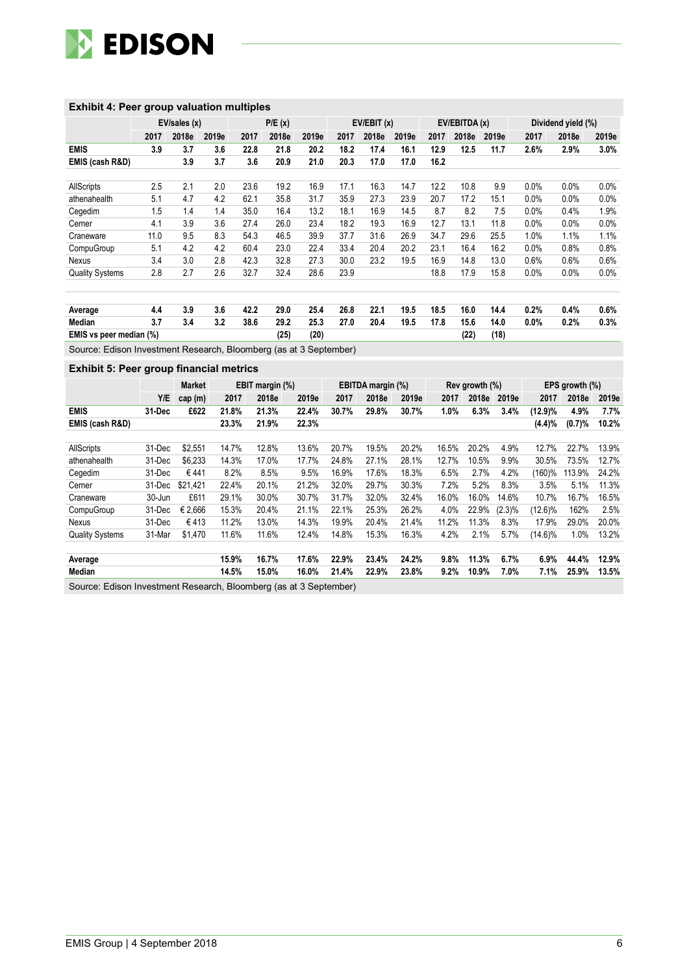

#### **Exhibit 4: Peer group valuation multiples**

|                         | EV/sales(x) |       | P/E(x) |      |       | EV/EBIT (x) |      |       |       | EV/EBITDA (x) |       | Dividend yield (%) |         |         |         |
|-------------------------|-------------|-------|--------|------|-------|-------------|------|-------|-------|---------------|-------|--------------------|---------|---------|---------|
|                         | 2017        | 2018e | 2019e  | 2017 | 2018e | 2019e       | 2017 | 2018e | 2019e | 2017          | 2018e | 2019e              | 2017    | 2018e   | 2019e   |
| <b>EMIS</b>             | 3.9         | 3.7   | 3.6    | 22.8 | 21.8  | 20.2        | 18.2 | 17.4  | 16.1  | 12.9          | 12.5  | 11.7               | 2.6%    | 2.9%    | $3.0\%$ |
| EMIS (cash R&D)         |             | 3.9   | 3.7    | 3.6  | 20.9  | 21.0        | 20.3 | 17.0  | 17.0  | 16.2          |       |                    |         |         |         |
| <b>AllScripts</b>       | 2.5         | 2.1   | 2.0    | 23.6 | 19.2  | 16.9        | 17.1 | 16.3  | 14.7  | 12.2          | 10.8  | 9.9                | 0.0%    | 0.0%    | 0.0%    |
| athenahealth            | 5.1         | 4.7   | 4.2    | 62.1 | 35.8  | 31.7        | 35.9 | 27.3  | 23.9  | 20.7          | 17.2  | 15.1               | $0.0\%$ | $0.0\%$ | 0.0%    |
| Cegedim                 | 1.5         | 1.4   | 1.4    | 35.0 | 16.4  | 13.2        | 18.1 | 16.9  | 14.5  | 8.7           | 8.2   | 7.5                | $0.0\%$ | 0.4%    | 1.9%    |
| Cerner                  | 4.1         | 3.9   | 3.6    | 27.4 | 26.0  | 23.4        | 18.2 | 19.3  | 16.9  | 12.7          | 13.1  | 11.8               | 0.0%    | 0.0%    | 0.0%    |
| Craneware               | 11.0        | 9.5   | 8.3    | 54.3 | 46.5  | 39.9        | 37.7 | 31.6  | 26.9  | 34.7          | 29.6  | 25.5               | 1.0%    | 1.1%    | 1.1%    |
| CompuGroup              | 5.1         | 4.2   | 4.2    | 60.4 | 23.0  | 22.4        | 33.4 | 20.4  | 20.2  | 23.1          | 16.4  | 16.2               | 0.0%    | 0.8%    | 0.8%    |
| Nexus                   | 3.4         | 3.0   | 2.8    | 42.3 | 32.8  | 27.3        | 30.0 | 23.2  | 19.5  | 16.9          | 14.8  | 13.0               | 0.6%    | 0.6%    | 0.6%    |
| <b>Quality Systems</b>  | 2.8         | 2.7   | 2.6    | 32.7 | 32.4  | 28.6        | 23.9 |       |       | 18.8          | 17.9  | 15.8               | $0.0\%$ | 0.0%    | 0.0%    |
|                         |             |       |        |      |       |             |      |       |       |               |       |                    |         |         |         |
| Average                 | 4.4         | 3.9   | 3.6    | 42.2 | 29.0  | 25.4        | 26.8 | 22.1  | 19.5  | 18.5          | 16.0  | 14.4               | 0.2%    | 0.4%    | $0.6\%$ |
| Median                  | 3.7         | 3.4   | 3.2    | 38.6 | 29.2  | 25.3        | 27.0 | 20.4  | 19.5  | 17.8          | 15.6  | 14.0               | $0.0\%$ | 0.2%    | 0.3%    |
| EMIS vs peer median (%) |             |       |        |      | (25)  | (20)        |      |       |       |               | (22)  | (18)               |         |         |         |

Source: Edison Investment Research, Bloomberg (as at 3 September)

#### **Exhibit 5: Peer group financial metrics**

|                        |        | Market   | EBIT margin (%) |       | EBITDA margin (%)                                             |       |       |       | Rev growth (%) |       | EPS growth (%) |            |        |       |
|------------------------|--------|----------|-----------------|-------|---------------------------------------------------------------|-------|-------|-------|----------------|-------|----------------|------------|--------|-------|
|                        | Y/E    | cap(m)   | 2017            | 2018e | 2019e                                                         | 2017  | 2018e | 2019e | 2017           | 2018e | 2019e          | 2017       | 2018e  | 2019e |
| <b>EMIS</b>            | 31 Dec | £622     | 21.8%           | 21.3% | 22.4%                                                         | 30.7% | 29.8% | 30.7% | 1.0%           | 6.3%  | 3.4%           | (12.9)%    | 4.9%   | 7.7%  |
| EMIS (cash R&D)        |        |          | 23.3%           | 21.9% | 22.3%                                                         |       |       |       |                |       |                | (4.4)%     | (0.7)% | 10.2% |
|                        |        |          |                 |       |                                                               |       |       |       |                |       |                |            |        |       |
| <b>AllScripts</b>      | 31-Dec | \$2.551  | 14.7%           | 12.8% | 13.6%                                                         | 20.7% | 19.5% | 20.2% | 16.5%          | 20.2% | 4.9%           | 12.7%      | 22.7%  | 13.9% |
| athenahealth           | 31-Dec | \$6,233  | 14.3%           | 17.0% | 17.7%                                                         | 24.8% | 27.1% | 28.1% | 12.7%          | 10.5% | 9.9%           | 30.5%      | 73.5%  | 12.7% |
| Cegedim                | 31-Dec | €441     | 8.2%            | 8.5%  | 9.5%                                                          | 16.9% | 17.6% | 18.3% | 6.5%           | 2.7%  | 4.2%           | (160)%     | 113.9% | 24.2% |
| Cerner                 | 31-Dec | \$21.421 | 22.4%           | 20.1% | 21.2%                                                         | 32.0% | 29.7% | 30.3% | 7.2%           | 5.2%  | 8.3%           | 3.5%       | 5.1%   | 11.3% |
| Craneware              | 30-Jun | £611     | 29.1%           | 30.0% | 30.7%                                                         | 31.7% | 32.0% | 32.4% | 16.0%          | 16.0% | 14.6%          | 10.7%      | 16.7%  | 16.5% |
| CompuGroup             | 31-Dec | € 2.666  | 15.3%           | 20.4% | 21.1%                                                         | 22.1% | 25.3% | 26.2% | 4.0%           | 22.9% | $(2.3)\%$      | $(12.6)\%$ | 162%   | 2.5%  |
| Nexus                  | 31-Dec | €413     | 11.2%           | 13.0% | 14.3%                                                         | 19.9% | 20.4% | 21.4% | 11.2%          | 11.3% | 8.3%           | 17.9%      | 29.0%  | 20.0% |
| <b>Quality Systems</b> | 31-Mar | \$1,470  | 11.6%           | 11.6% | 12.4%                                                         | 14.8% | 15.3% | 16.3% | 4.2%           | 2.1%  | 5.7%           | (14.6)%    | 1.0%   | 13.2% |
|                        |        |          |                 |       |                                                               |       |       |       |                |       |                |            |        |       |
| Average                |        |          | 15.9%           | 16.7% | 17.6%                                                         | 22.9% | 23.4% | 24.2% | 9.8%           | 11.3% | 6.7%           | 6.9%       | 44.4%  | 12.9% |
| Median                 |        |          | 14.5%           | 15.0% | 16.0%                                                         | 21.4% | 22.9% | 23.8% | $9.2\%$        | 10.9% | 7.0%           | 7.1%       | 25.9%  | 13.5% |
| $\sim$ $\sim$ $\sim$   |        |          |                 |       | $\mathbb{R}^n$ is the set of $\mathbb{R}^n$ in $\mathbb{R}^n$ |       |       |       |                |       |                |            |        |       |

Source: Edison Investment Research, Bloomberg (as at 3 September)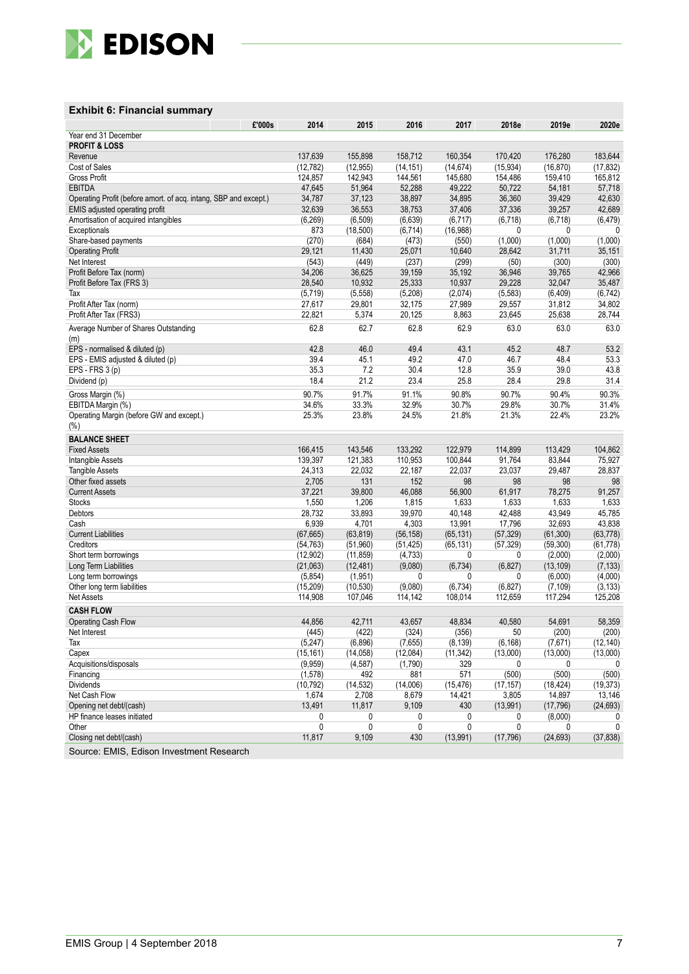

#### **Exhibit 6: Financial summary**

| £'000s                                                           | 2014      | 2015      | 2016      | 2017      | 2018e     | 2019e     | 2020e     |
|------------------------------------------------------------------|-----------|-----------|-----------|-----------|-----------|-----------|-----------|
| Year end 31 December                                             |           |           |           |           |           |           |           |
| <b>PROFIT &amp; LOSS</b>                                         |           |           |           |           |           |           |           |
| Revenue                                                          | 137,639   | 155,898   | 158,712   | 160,354   | 170,420   | 176,280   | 183,644   |
| Cost of Sales                                                    | (12, 782) | (12, 955) | (14, 151) | (14, 674) | (15, 934) | (16, 870) | (17, 832) |
| Gross Profit                                                     | 124,857   | 142,943   | 144,561   | 145,680   | 154,486   | 159,410   | 165,812   |
| <b>EBITDA</b>                                                    | 47,645    | 51,964    | 52,288    | 49,222    | 50,722    | 54,181    | 57,718    |
| Operating Profit (before amort. of acq. intang, SBP and except.) | 34,787    | 37,123    | 38,897    | 34,895    | 36,360    | 39,429    | 42,630    |
| EMIS adjusted operating profit                                   | 32,639    | 36,553    | 38,753    | 37,406    | 37,336    | 39,257    | 42,689    |
| Amortisation of acquired intangibles                             | (6, 269)  | (6, 509)  | (6,639)   | (6, 717)  | (6, 718)  | (6, 718)  | (6, 479)  |
| Exceptionals                                                     | 873       | (18,500)  | (6,714)   | (16,988)  | 0         | 0         | 0         |
| Share-based payments                                             | (270)     | (684)     | (473)     | (550)     | (1,000)   | (1,000)   | (1,000)   |
| <b>Operating Profit</b>                                          | 29,121    | 11,430    | 25,071    | 10,640    | 28,642    | 31,711    | 35,151    |
| Net Interest                                                     | (543)     | (449)     | (237)     | (299)     | (50)      | (300)     | (300)     |
| Profit Before Tax (norm)                                         | 34,206    | 36,625    | 39,159    | 35,192    | 36,946    | 39,765    | 42,966    |
| Profit Before Tax (FRS 3)                                        | 28,540    | 10,932    | 25,333    | 10,937    | 29,228    | 32,047    | 35,487    |
| Tax                                                              | (5,719)   | (5,558)   | (5,208)   | (2,074)   | (5, 583)  | (6, 409)  | (6, 742)  |
| Profit After Tax (norm)                                          | 27,617    | 29,801    | 32,175    | 27,989    | 29,557    | 31,812    | 34,802    |
| Profit After Tax (FRS3)                                          | 22,821    | 5,374     | 20,125    | 8,863     | 23,645    | 25,638    | 28,744    |
| Average Number of Shares Outstanding                             | 62.8      | 62.7      | 62.8      | 62.9      | 63.0      | 63.0      | 63.0      |
| (m)                                                              |           |           |           |           |           |           |           |
| EPS - normalised & diluted (p)                                   | 42.8      | 46.0      | 49.4      | 43.1      | 45.2      | 48.7      | 53.2      |
| EPS - EMIS adjusted & diluted (p)                                | 39.4      | 45.1      | 49.2      | 47.0      | 46.7      | 48.4      | 53.3      |
| EPS - FRS 3 (p)                                                  | 35.3      | 7.2       | 30.4      | 12.8      | 35.9      | 39.0      | 43.8      |
| Dividend (p)                                                     | 18.4      | 21.2      | 23.4      | 25.8      | 28.4      | 29.8      | 31.4      |
| Gross Margin (%)                                                 | 90.7%     | 91.7%     | 91.1%     | 90.8%     | 90.7%     | 90.4%     | 90.3%     |
| EBITDA Margin (%)                                                | 34.6%     | 33.3%     | 32.9%     | 30.7%     | 29.8%     | 30.7%     | 31.4%     |
| Operating Margin (before GW and except.)                         | 25.3%     | 23.8%     | 24.5%     | 21.8%     | 21.3%     | 22.4%     | 23.2%     |
| $(\% )$                                                          |           |           |           |           |           |           |           |
| <b>BALANCE SHEET</b>                                             |           |           |           |           |           |           |           |
| <b>Fixed Assets</b>                                              | 166,415   | 143,546   | 133,292   | 122,979   | 114,899   | 113,429   | 104,862   |
| Intangible Assets                                                | 139,397   | 121,383   | 110,953   | 100,844   | 91,764    | 83,844    | 75,927    |
| <b>Tangible Assets</b>                                           | 24,313    | 22,032    | 22,187    | 22,037    | 23,037    | 29,487    | 28,837    |
| Other fixed assets                                               | 2,705     | 131       | 152       | 98        | 98        | 98        | 98        |
| <b>Current Assets</b>                                            | 37,221    | 39,800    | 46,088    | 56,900    | 61,917    | 78,275    | 91,257    |
| Stocks                                                           | 1,550     | 1,206     | 1,815     | 1,633     | 1,633     | 1,633     | 1,633     |
| Debtors                                                          | 28,732    | 33,893    | 39,970    | 40,148    | 42,488    | 43,949    | 45,785    |
| Cash                                                             | 6,939     | 4,701     | 4,303     | 13,991    | 17,796    | 32,693    | 43,838    |
| <b>Current Liabilities</b>                                       | (67, 665) | (63, 819) | (56, 158) | (65, 131) | (57, 329) | (61,300)  | (63, 778) |
| Creditors                                                        | (54, 763) | (51, 960) | (51, 425) | (65, 131) | (57, 329) | (59, 300) | (61, 778) |
| Short term borrowings                                            | (12, 902) | (11, 859) | (4, 733)  | 0         | 0         | (2,000)   | (2,000)   |
| Long Term Liabilities                                            | (21,063)  | (12, 481) | (9,080)   | (6,734)   | (6, 827)  | (13, 109) | (7, 133)  |
| Long term borrowings                                             | (5,854)   | (1,951)   | 0         | 0         | 0         | (6,000)   | (4,000)   |
| Other long term liabilities                                      | (15, 209) | (10, 530) | (9,080)   | (6, 734)  | (6, 827)  | (7, 109)  | (3, 133)  |
| Net Assets                                                       | 114,908   | 107,046   | 114,142   | 108,014   | 112,659   | 117,294   | 125,208   |
| <b>CASH FLOW</b>                                                 |           |           |           |           |           |           |           |
| <b>Operating Cash Flow</b>                                       | 44,856    | 42,711    | 43,657    | 48,834    | 40,580    | 54,691    | 58,359    |
| Net Interest                                                     | (445)     | (422)     | (324)     | (356)     | 50        | (200)     | (200)     |
| Тах                                                              | (5,247)   | (6,896)   | (7,655)   | (8, 139)  | (6, 168)  | (7,671)   | (12, 140) |
| Capex                                                            | (15, 161) | (14, 058) | (12,084)  | (11, 342) | (13,000)  | (13,000)  | (13,000)  |
| Acquisitions/disposals                                           | (9,959)   | (4, 587)  | (1,790)   | 329       | 0         | 0         | 0         |
| Financing                                                        | (1,578)   | 492       | 881       | 571       | (500)     | (500)     | (500)     |
| Dividends                                                        | (10, 792) | (14, 532) | (14,006)  | (15, 476) | (17, 157) | (18, 424) | (19, 373) |
| Net Cash Flow                                                    | 1,674     | 2,708     | 8,679     | 14,421    | 3,805     | 14,897    | 13,146    |
| Opening net debt/(cash)                                          | 13,491    | 11,817    | 9,109     | 430       | (13,991)  | (17, 796) | (24, 693) |
| HP finance leases initiated                                      | 0         | 0         | 0         | 0         | 0         | (8,000)   | 0         |
| Other                                                            | 0         | 0         | 0         | 0         | 0         | 0         | 0         |
| Closing net debt/(cash)                                          | 11,817    | 9,109     | 430       | (13,991)  | (17, 796) | (24, 693) | (37, 838) |
|                                                                  |           |           |           |           |           |           |           |

Source: EMIS, Edison Investment Research